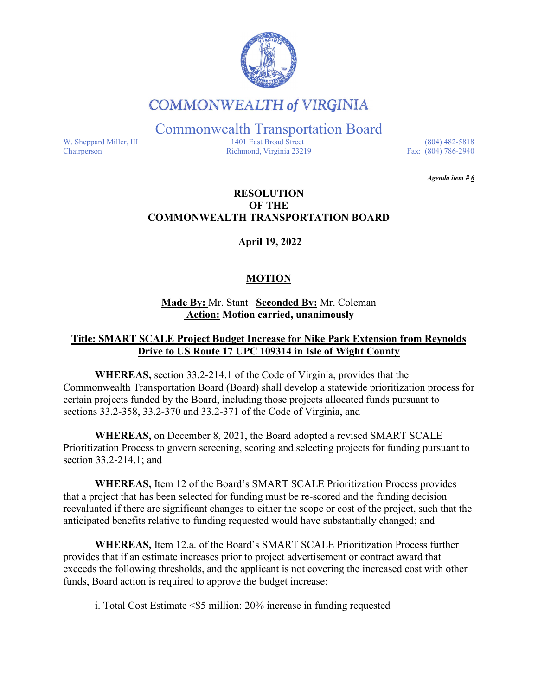

# **COMMONWEALTH of VIRGINIA**

Commonwealth Transportation Board

W. Sheppard Miller, III 1401 East Broad Street (804) 482-5818<br>Chairperson Richmond, Virginia 23219 Fax: (804) 786-2940 Richmond, Virginia 23219

*Agenda item # 6* 

## **RESOLUTION OF THE COMMONWEALTH TRANSPORTATION BOARD**

**April 19, 2022** 

# **MOTION**

**Made By:** Mr. Stant **Seconded By:** Mr. Coleman **Action: Motion carried, unanimously**

## **Title: SMART SCALE Project Budget Increase for Nike Park Extension from Reynolds Drive to US Route 17 UPC 109314 in Isle of Wight County**

**WHEREAS,** section 33.2-214.1 of the Code of Virginia, provides that the Commonwealth Transportation Board (Board) shall develop a statewide prioritization process for certain projects funded by the Board, including those projects allocated funds pursuant to sections 33.2-358, 33.2-370 and 33.2-371 of the Code of Virginia, and

**WHEREAS,** on December 8, 2021, the Board adopted a revised SMART SCALE Prioritization Process to govern screening, scoring and selecting projects for funding pursuant to section 33.2-214.1; and

**WHEREAS,** Item 12 of the Board's SMART SCALE Prioritization Process provides that a project that has been selected for funding must be re-scored and the funding decision reevaluated if there are significant changes to either the scope or cost of the project, such that the anticipated benefits relative to funding requested would have substantially changed; and

**WHEREAS,** Item 12.a. of the Board's SMART SCALE Prioritization Process further provides that if an estimate increases prior to project advertisement or contract award that exceeds the following thresholds, and the applicant is not covering the increased cost with other funds, Board action is required to approve the budget increase:

i. Total Cost Estimate <\$5 million: 20% increase in funding requested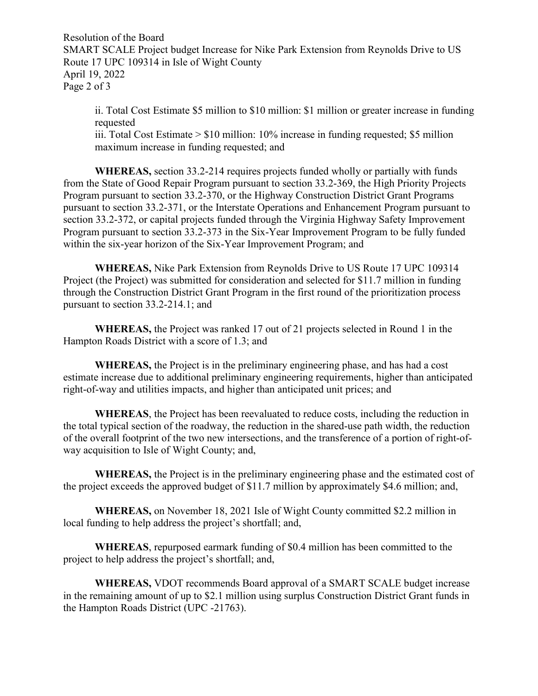Resolution of the Board SMART SCALE Project budget Increase for Nike Park Extension from Reynolds Drive to US Route 17 UPC 109314 in Isle of Wight County April 19, 2022 Page 2 of 3

ii. Total Cost Estimate \$5 million to \$10 million: \$1 million or greater increase in funding requested iii. Total Cost Estimate > \$10 million: 10% increase in funding requested; \$5 million maximum increase in funding requested; and

**WHEREAS,** section 33.2-214 requires projects funded wholly or partially with funds from the State of Good Repair Program pursuant to section 33.2-369, the High Priority Projects Program pursuant to section 33.2-370, or the Highway Construction District Grant Programs pursuant to section 33.2-371, or the Interstate Operations and Enhancement Program pursuant to section 33.2-372, or capital projects funded through the Virginia Highway Safety Improvement Program pursuant to section 33.2-373 in the Six-Year Improvement Program to be fully funded within the six-year horizon of the Six-Year Improvement Program; and

**WHEREAS,** Nike Park Extension from Reynolds Drive to US Route 17 UPC 109314 Project (the Project) was submitted for consideration and selected for \$11.7 million in funding through the Construction District Grant Program in the first round of the prioritization process pursuant to section 33.2-214.1; and

**WHEREAS,** the Project was ranked 17 out of 21 projects selected in Round 1 in the Hampton Roads District with a score of 1.3; and

**WHEREAS,** the Project is in the preliminary engineering phase, and has had a cost estimate increase due to additional preliminary engineering requirements, higher than anticipated right-of-way and utilities impacts, and higher than anticipated unit prices; and

**WHEREAS**, the Project has been reevaluated to reduce costs, including the reduction in the total typical section of the roadway, the reduction in the shared-use path width, the reduction of the overall footprint of the two new intersections, and the transference of a portion of right-ofway acquisition to Isle of Wight County; and,

**WHEREAS,** the Project is in the preliminary engineering phase and the estimated cost of the project exceeds the approved budget of \$11.7 million by approximately \$4.6 million; and,

**WHEREAS,** on November 18, 2021 Isle of Wight County committed \$2.2 million in local funding to help address the project's shortfall; and,

**WHEREAS**, repurposed earmark funding of \$0.4 million has been committed to the project to help address the project's shortfall; and,

**WHEREAS,** VDOT recommends Board approval of a SMART SCALE budget increase in the remaining amount of up to \$2.1 million using surplus Construction District Grant funds in the Hampton Roads District (UPC -21763).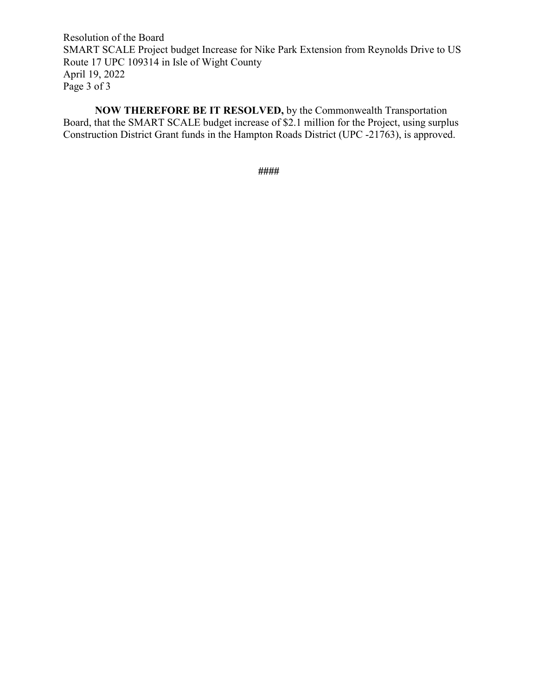Resolution of the Board SMART SCALE Project budget Increase for Nike Park Extension from Reynolds Drive to US Route 17 UPC 109314 in Isle of Wight County April 19, 2022 Page 3 of 3

**NOW THEREFORE BE IT RESOLVED,** by the Commonwealth Transportation Board, that the SMART SCALE budget increase of \$2.1 million for the Project, using surplus Construction District Grant funds in the Hampton Roads District (UPC -21763), is approved.

**####**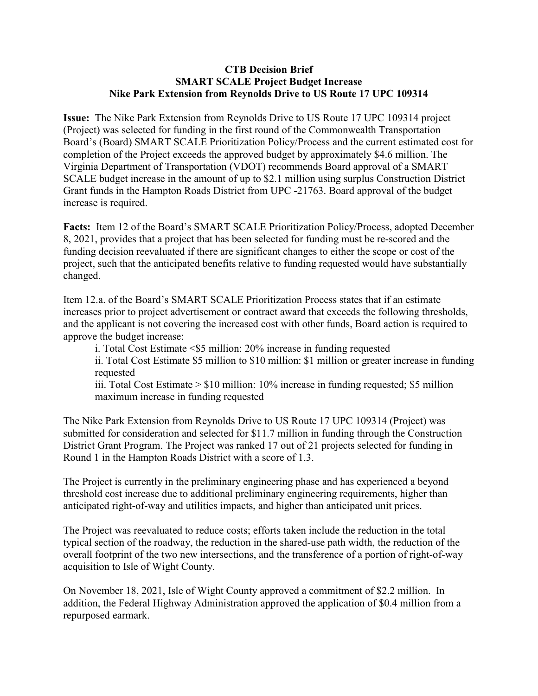#### **CTB Decision Brief SMART SCALE Project Budget Increase Nike Park Extension from Reynolds Drive to US Route 17 UPC 109314**

**Issue:** The Nike Park Extension from Reynolds Drive to US Route 17 UPC 109314 project (Project) was selected for funding in the first round of the Commonwealth Transportation Board's (Board) SMART SCALE Prioritization Policy/Process and the current estimated cost for completion of the Project exceeds the approved budget by approximately \$4.6 million. The Virginia Department of Transportation (VDOT) recommends Board approval of a SMART SCALE budget increase in the amount of up to \$2.1 million using surplus Construction District Grant funds in the Hampton Roads District from UPC -21763. Board approval of the budget increase is required.

**Facts:** Item 12 of the Board's SMART SCALE Prioritization Policy/Process, adopted December 8, 2021, provides that a project that has been selected for funding must be re-scored and the funding decision reevaluated if there are significant changes to either the scope or cost of the project, such that the anticipated benefits relative to funding requested would have substantially changed.

Item 12.a. of the Board's SMART SCALE Prioritization Process states that if an estimate increases prior to project advertisement or contract award that exceeds the following thresholds, and the applicant is not covering the increased cost with other funds, Board action is required to approve the budget increase:

i. Total Cost Estimate <\$5 million: 20% increase in funding requested

ii. Total Cost Estimate \$5 million to \$10 million: \$1 million or greater increase in funding requested

iii. Total Cost Estimate > \$10 million: 10% increase in funding requested; \$5 million maximum increase in funding requested

The Nike Park Extension from Reynolds Drive to US Route 17 UPC 109314 (Project) was submitted for consideration and selected for \$11.7 million in funding through the Construction District Grant Program. The Project was ranked 17 out of 21 projects selected for funding in Round 1 in the Hampton Roads District with a score of 1.3.

The Project is currently in the preliminary engineering phase and has experienced a beyond threshold cost increase due to additional preliminary engineering requirements, higher than anticipated right-of-way and utilities impacts, and higher than anticipated unit prices.

The Project was reevaluated to reduce costs; efforts taken include the reduction in the total typical section of the roadway, the reduction in the shared-use path width, the reduction of the overall footprint of the two new intersections, and the transference of a portion of right-of-way acquisition to Isle of Wight County.

On November 18, 2021, Isle of Wight County approved a commitment of \$2.2 million. In addition, the Federal Highway Administration approved the application of \$0.4 million from a repurposed earmark.